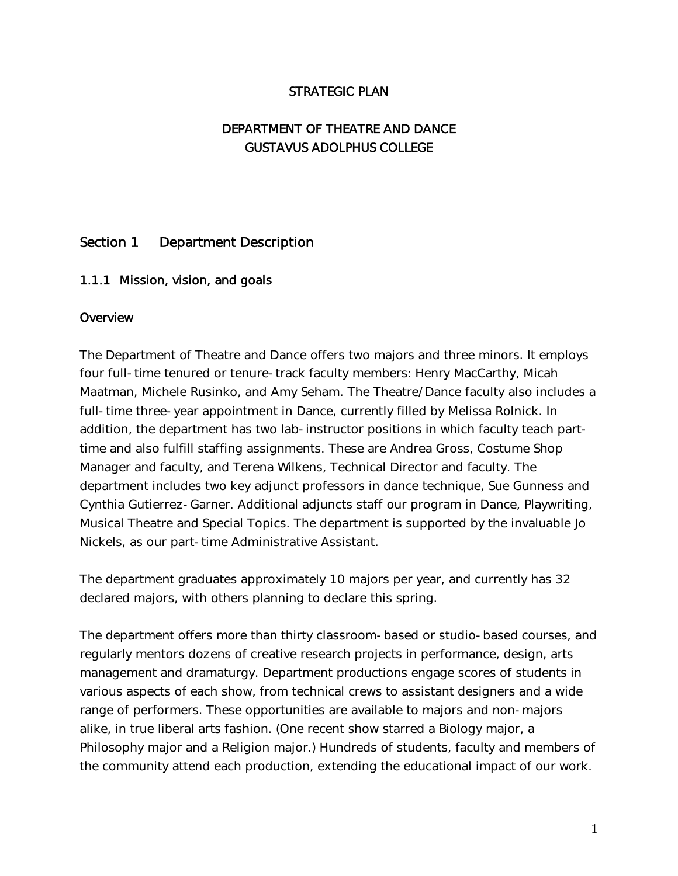## STRATEGIC PLAN

# DEPARTMENT OF THEATRE AND DANCE GUSTAVUS ADOLPHUS COLLEGE

# Section 1 Department Description

## 1.1.1 Mission, vision, and goals

#### **Overview**

The Department of Theatre and Dance offers two majors and three minors. It employs four full-time tenured or tenure-track faculty members: Henry MacCarthy, Micah Maatman, Michele Rusinko, and Amy Seham. The Theatre/Dance faculty also includes a full-time three-year appointment in Dance, currently filled by Melissa Rolnick. In addition, the department has two lab-instructor positions in which faculty teach parttime and also fulfill staffing assignments. These are Andrea Gross, Costume Shop Manager and faculty, and Terena Wilkens, Technical Director and faculty. The department includes two key adjunct professors in dance technique, Sue Gunness and Cynthia Gutierrez-Garner. Additional adjuncts staff our program in Dance, Playwriting, Musical Theatre and Special Topics. The department is supported by the invaluable Jo Nickels, as our part-time Administrative Assistant.

The department graduates approximately 10 majors per year, and currently has 32 declared majors, with others planning to declare this spring.

The department offers more than thirty classroom-based or studio-based courses, and regularly mentors dozens of creative research projects in performance, design, arts management and dramaturgy. Department productions engage scores of students in various aspects of each show, from technical crews to assistant designers and a wide range of performers. These opportunities are available to majors and non-majors alike, in true liberal arts fashion. (One recent show starred a Biology major, a Philosophy major and a Religion major.) Hundreds of students, faculty and members of the community attend each production, extending the educational impact of our work.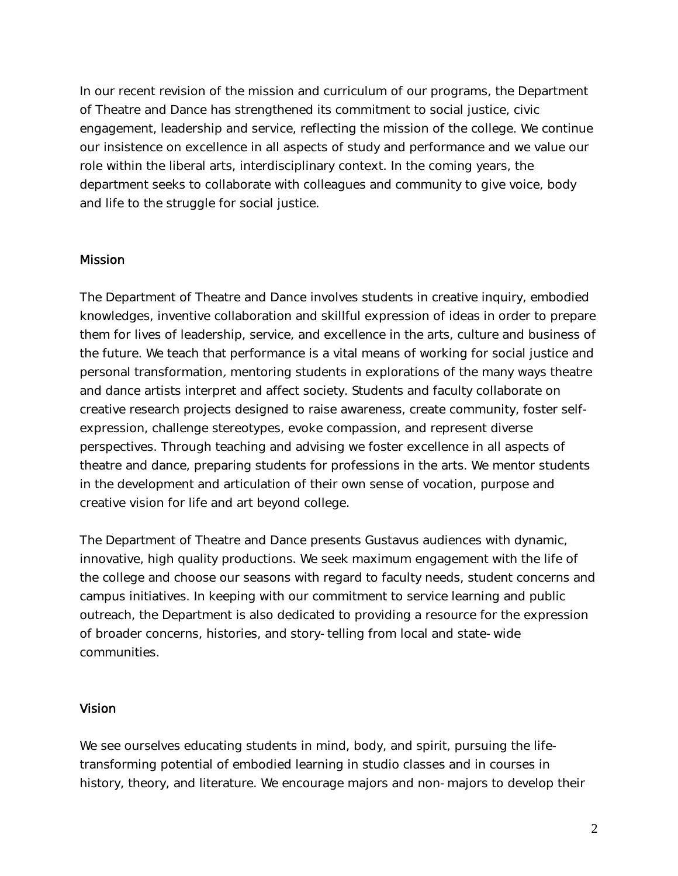In our recent revision of the mission and curriculum of our programs, the Department of Theatre and Dance has strengthened its commitment to social justice, civic engagement, leadership and service, reflecting the mission of the college. We continue our insistence on excellence in all aspects of study and performance and we value our role within the liberal arts, interdisciplinary context. In the coming years, the department seeks to collaborate with colleagues and community to give voice, body and life to the struggle for social justice.

#### **Mission**

The Department of Theatre and Dance involves students in creative inquiry, embodied knowledges, inventive collaboration and skillful expression of ideas in order to prepare them for lives of leadership, service, and excellence in the arts, culture and business of the future. We teach that performance is a vital means of working for social justice and personal transformation, mentoring students in explorations of the many ways theatre and dance artists interpret and affect society. Students and faculty collaborate on creative research projects designed to raise awareness, create community, foster selfexpression, challenge stereotypes, evoke compassion, and represent diverse perspectives. Through teaching and advising we foster excellence in all aspects of theatre and dance, preparing students for professions in the arts. We mentor students in the development and articulation of their own sense of vocation, purpose and creative vision for life and art beyond college.

The Department of Theatre and Dance presents Gustavus audiences with dynamic, innovative, high quality productions. We seek maximum engagement with the life of the college and choose our seasons with regard to faculty needs, student concerns and campus initiatives. In keeping with our commitment to service learning and public outreach, the Department is also dedicated to providing a resource for the expression of broader concerns, histories, and story-telling from local and state-wide communities.

#### Vision

We see ourselves educating students in mind, body, and spirit, pursuing the lifetransforming potential of embodied learning in studio classes and in courses in history, theory, and literature. We encourage majors and non-majors to develop their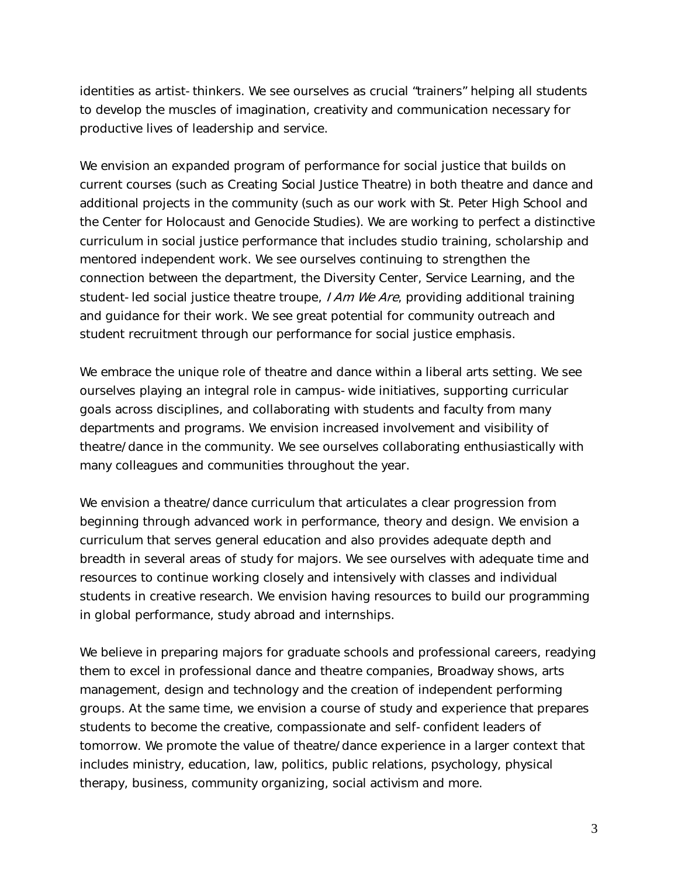identities as artist-thinkers. We see ourselves as crucial "trainers" helping all students to develop the muscles of imagination, creativity and communication necessary for productive lives of leadership and service.

We envision an expanded program of performance for social justice that builds on current courses (such as Creating Social Justice Theatre) in both theatre and dance and additional projects in the community (such as our work with St. Peter High School and the Center for Holocaust and Genocide Studies). We are working to perfect a distinctive curriculum in social justice performance that includes studio training, scholarship and mentored independent work. We see ourselves continuing to strengthen the connection between the department, the Diversity Center, Service Learning, and the student-led social justice theatre troupe, I Am We Are, providing additional training and guidance for their work. We see great potential for community outreach and student recruitment through our performance for social justice emphasis.

We embrace the unique role of theatre and dance within a liberal arts setting. We see ourselves playing an integral role in campus-wide initiatives, supporting curricular goals across disciplines, and collaborating with students and faculty from many departments and programs. We envision increased involvement and visibility of theatre/dance in the community. We see ourselves collaborating enthusiastically with many colleagues and communities throughout the year.

We envision a theatre/dance curriculum that articulates a clear progression from beginning through advanced work in performance, theory and design. We envision a curriculum that serves general education and also provides adequate depth and breadth in several areas of study for majors. We see ourselves with adequate time and resources to continue working closely and intensively with classes and individual students in creative research. We envision having resources to build our programming in global performance, study abroad and internships.

We believe in preparing majors for graduate schools and professional careers, readying them to excel in professional dance and theatre companies, Broadway shows, arts management, design and technology and the creation of independent performing groups. At the same time, we envision a course of study and experience that prepares students to become the creative, compassionate and self-confident leaders of tomorrow. We promote the value of theatre/dance experience in a larger context that includes ministry, education, law, politics, public relations, psychology, physical therapy, business, community organizing, social activism and more.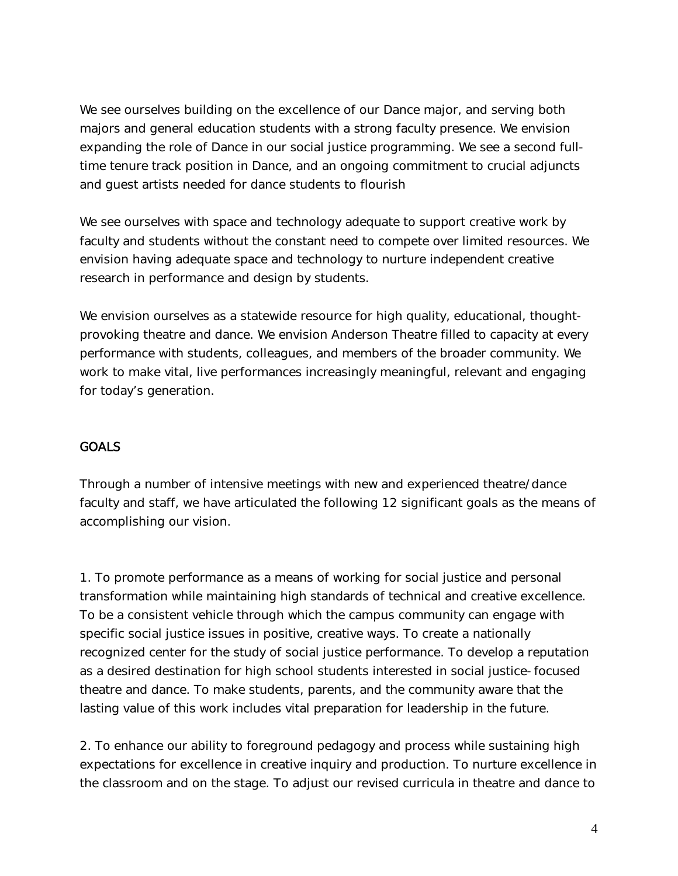We see ourselves building on the excellence of our Dance major, and serving both majors and general education students with a strong faculty presence. We envision expanding the role of Dance in our social justice programming. We see a second fulltime tenure track position in Dance, and an ongoing commitment to crucial adjuncts and guest artists needed for dance students to flourish

We see ourselves with space and technology adequate to support creative work by faculty and students without the constant need to compete over limited resources. We envision having adequate space and technology to nurture independent creative research in performance and design by students.

We envision ourselves as a statewide resource for high quality, educational, thoughtprovoking theatre and dance. We envision Anderson Theatre filled to capacity at every performance with students, colleagues, and members of the broader community. We work to make vital, live performances increasingly meaningful, relevant and engaging for today's generation.

# **GOALS**

Through a number of intensive meetings with new and experienced theatre/dance faculty and staff, we have articulated the following 12 significant goals as the means of accomplishing our vision.

1. To promote performance as a means of working for social justice and personal transformation while maintaining high standards of technical and creative excellence. To be a consistent vehicle through which the campus community can engage with specific social justice issues in positive, creative ways. To create a nationally recognized center for the study of social justice performance. To develop a reputation as a desired destination for high school students interested in social justice-focused theatre and dance. To make students, parents, and the community aware that the lasting value of this work includes vital preparation for leadership in the future.

2. To enhance our ability to foreground pedagogy and process while sustaining high expectations for excellence in creative inquiry and production. To nurture excellence in the classroom and on the stage. To adjust our revised curricula in theatre and dance to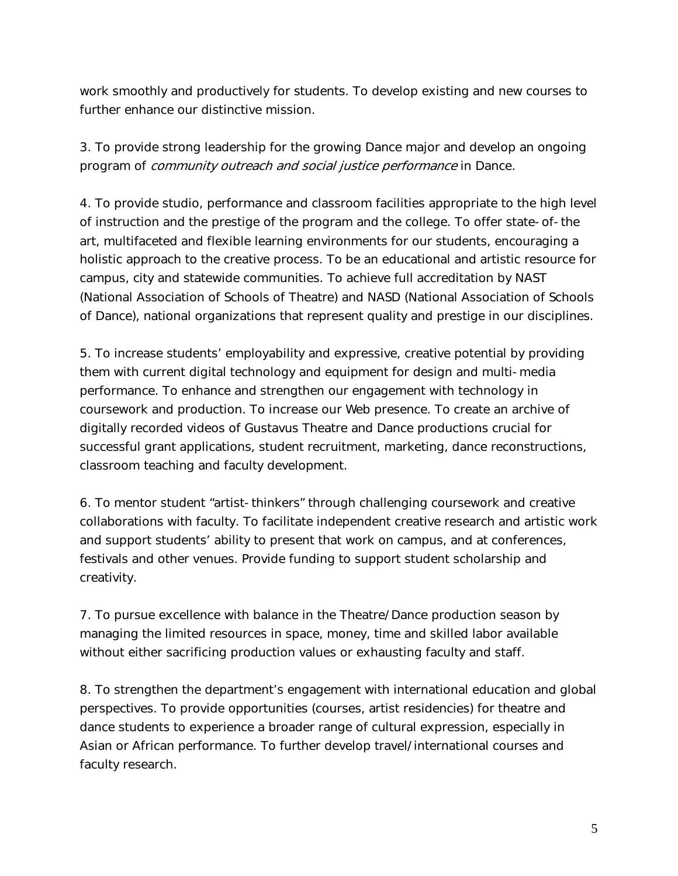work smoothly and productively for students. To develop existing and new courses to further enhance our distinctive mission.

3. To provide strong leadership for the growing Dance major and develop an ongoing program of community outreach and social justice performance in Dance.

4. To provide studio, performance and classroom facilities appropriate to the high level of instruction and the prestige of the program and the college. To offer state-of-the art, multifaceted and flexible learning environments for our students, encouraging a holistic approach to the creative process. To be an educational and artistic resource for campus, city and statewide communities. To achieve full accreditation by NAST (National Association of Schools of Theatre) and NASD (National Association of Schools of Dance), national organizations that represent quality and prestige in our disciplines.

5. To increase students' employability and expressive, creative potential by providing them with current digital technology and equipment for design and multi-media performance. To enhance and strengthen our engagement with technology in coursework and production. To increase our Web presence. To create an archive of digitally recorded videos of Gustavus Theatre and Dance productions crucial for successful grant applications, student recruitment, marketing, dance reconstructions, classroom teaching and faculty development.

6. To mentor student "artist-thinkers" through challenging coursework and creative collaborations with faculty. To facilitate independent creative research and artistic work and support students' ability to present that work on campus, and at conferences, festivals and other venues. Provide funding to support student scholarship and creativity.

7. To pursue excellence with balance in the Theatre/Dance production season by managing the limited resources in space, money, time and skilled labor available without either sacrificing production values or exhausting faculty and staff.

8. To strengthen the department's engagement with international education and global perspectives. To provide opportunities (courses, artist residencies) for theatre and dance students to experience a broader range of cultural expression, especially in Asian or African performance. To further develop travel/international courses and faculty research.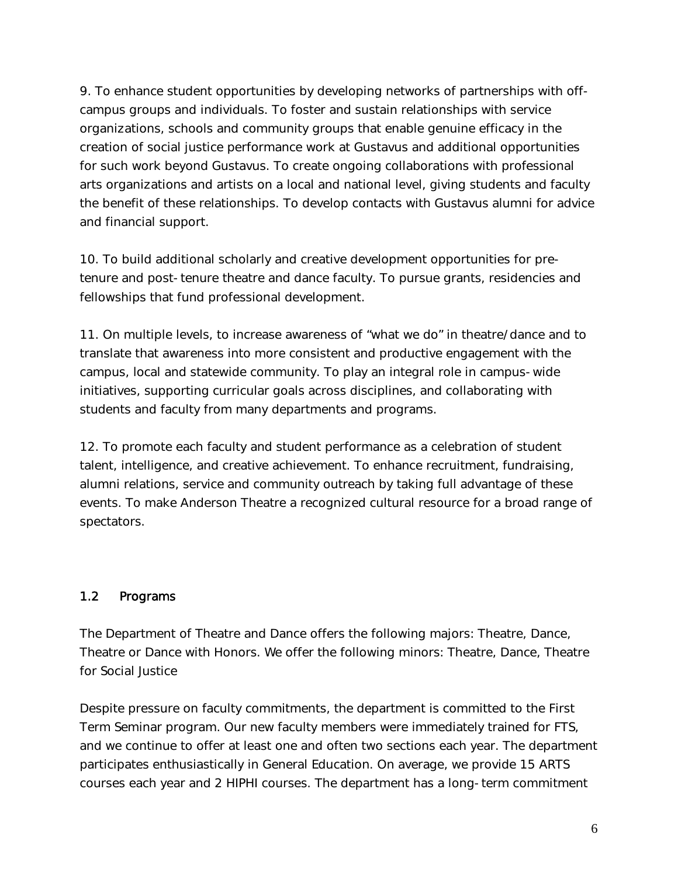9. To enhance student opportunities by developing networks of partnerships with offcampus groups and individuals. To foster and sustain relationships with service organizations, schools and community groups that enable genuine efficacy in the creation of social justice performance work at Gustavus and additional opportunities for such work beyond Gustavus. To create ongoing collaborations with professional arts organizations and artists on a local and national level, giving students and faculty the benefit of these relationships. To develop contacts with Gustavus alumni for advice and financial support.

10. To build additional scholarly and creative development opportunities for pretenure and post-tenure theatre and dance faculty. To pursue grants, residencies and fellowships that fund professional development.

11. On multiple levels, to increase awareness of "what we do" in theatre/dance and to translate that awareness into more consistent and productive engagement with the campus, local and statewide community. To play an integral role in campus-wide initiatives, supporting curricular goals across disciplines, and collaborating with students and faculty from many departments and programs.

12. To promote each faculty and student performance as a celebration of student talent, intelligence, and creative achievement. To enhance recruitment, fundraising, alumni relations, service and community outreach by taking full advantage of these events. To make Anderson Theatre a recognized cultural resource for a broad range of spectators.

## 1.2 Programs

The Department of Theatre and Dance offers the following majors: Theatre, Dance, Theatre or Dance with Honors. We offer the following minors: Theatre, Dance, Theatre for Social Justice

Despite pressure on faculty commitments, the department is committed to the First Term Seminar program. Our new faculty members were immediately trained for FTS, and we continue to offer at least one and often two sections each year. The department participates enthusiastically in General Education. On average, we provide 15 ARTS courses each year and 2 HIPHI courses. The department has a long-term commitment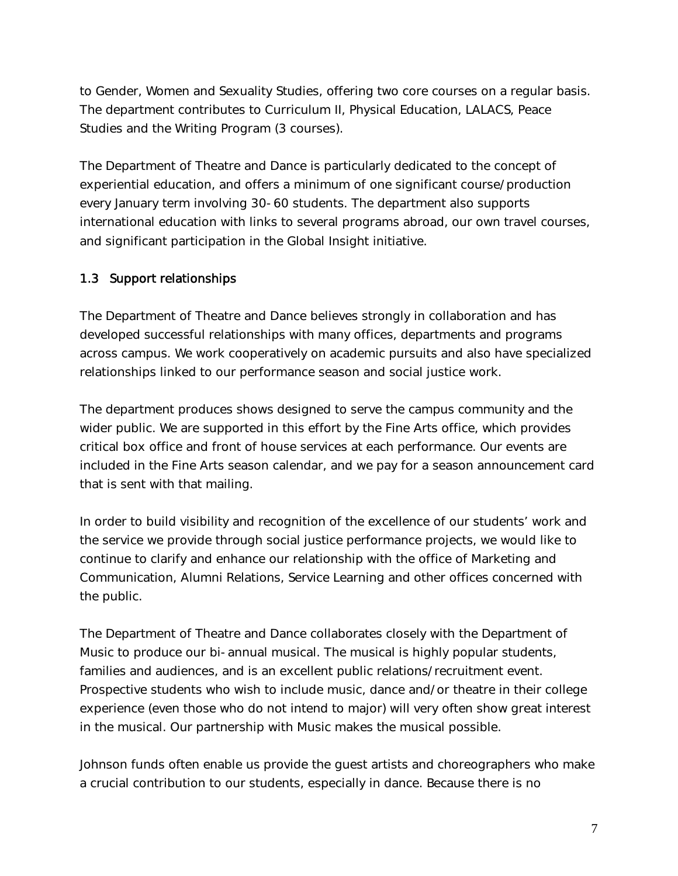to Gender, Women and Sexuality Studies, offering two core courses on a regular basis. The department contributes to Curriculum II, Physical Education, LALACS, Peace Studies and the Writing Program (3 courses).

The Department of Theatre and Dance is particularly dedicated to the concept of experiential education, and offers a minimum of one significant course/production every January term involving 30-60 students. The department also supports international education with links to several programs abroad, our own travel courses, and significant participation in the Global Insight initiative.

## 1.3 Support relationships

The Department of Theatre and Dance believes strongly in collaboration and has developed successful relationships with many offices, departments and programs across campus. We work cooperatively on academic pursuits and also have specialized relationships linked to our performance season and social justice work.

The department produces shows designed to serve the campus community and the wider public. We are supported in this effort by the Fine Arts office, which provides critical box office and front of house services at each performance. Our events are included in the Fine Arts season calendar, and we pay for a season announcement card that is sent with that mailing.

In order to build visibility and recognition of the excellence of our students' work and the service we provide through social justice performance projects, we would like to continue to clarify and enhance our relationship with the office of Marketing and Communication, Alumni Relations, Service Learning and other offices concerned with the public.

The Department of Theatre and Dance collaborates closely with the Department of Music to produce our bi-annual musical. The musical is highly popular students, families and audiences, and is an excellent public relations/recruitment event. Prospective students who wish to include music, dance and/or theatre in their college experience (even those who do not intend to major) will very often show great interest in the musical. Our partnership with Music makes the musical possible.

Johnson funds often enable us provide the guest artists and choreographers who make a crucial contribution to our students, especially in dance. Because there is no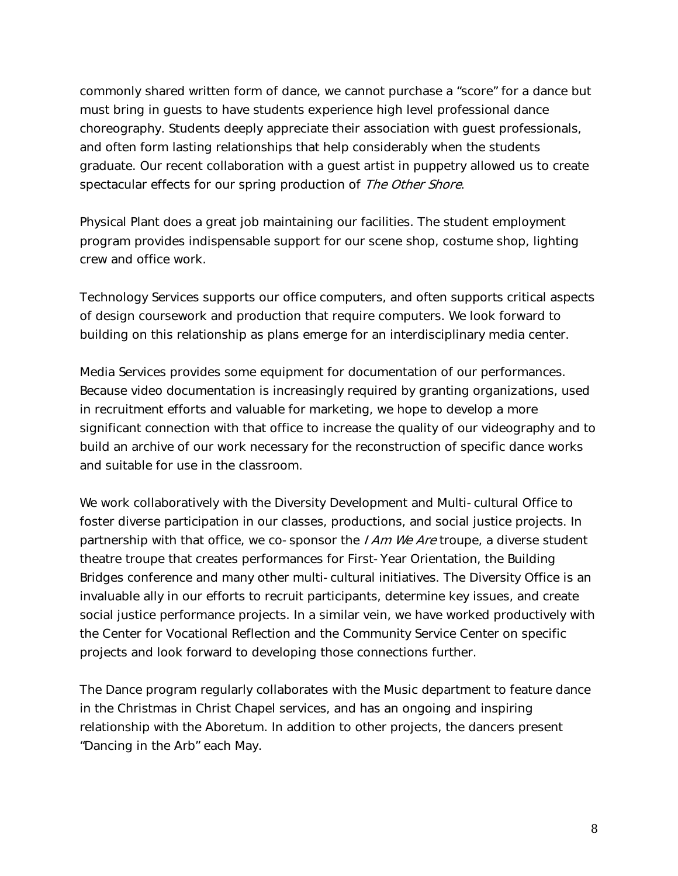commonly shared written form of dance, we cannot purchase a "score" for a dance but must bring in guests to have students experience high level professional dance choreography. Students deeply appreciate their association with guest professionals, and often form lasting relationships that help considerably when the students graduate. Our recent collaboration with a guest artist in puppetry allowed us to create spectacular effects for our spring production of The Other Shore.

Physical Plant does a great job maintaining our facilities. The student employment program provides indispensable support for our scene shop, costume shop, lighting crew and office work.

Technology Services supports our office computers, and often supports critical aspects of design coursework and production that require computers. We look forward to building on this relationship as plans emerge for an interdisciplinary media center.

Media Services provides some equipment for documentation of our performances. Because video documentation is increasingly required by granting organizations, used in recruitment efforts and valuable for marketing, we hope to develop a more significant connection with that office to increase the quality of our videography and to build an archive of our work necessary for the reconstruction of specific dance works and suitable for use in the classroom.

We work collaboratively with the Diversity Development and Multi-cultural Office to foster diverse participation in our classes, productions, and social justice projects. In partnership with that office, we co-sponsor the *I Am We Are* troupe, a diverse student theatre troupe that creates performances for First-Year Orientation, the Building Bridges conference and many other multi-cultural initiatives. The Diversity Office is an invaluable ally in our efforts to recruit participants, determine key issues, and create social justice performance projects. In a similar vein, we have worked productively with the Center for Vocational Reflection and the Community Service Center on specific projects and look forward to developing those connections further.

The Dance program regularly collaborates with the Music department to feature dance in the Christmas in Christ Chapel services, and has an ongoing and inspiring relationship with the Aboretum. In addition to other projects, the dancers present "Dancing in the Arb" each May.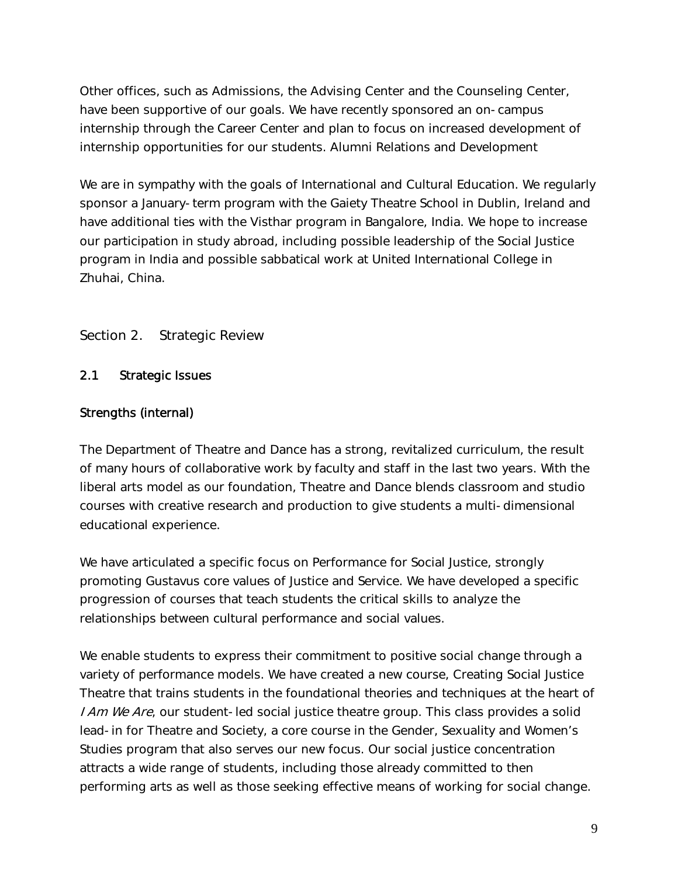Other offices, such as Admissions, the Advising Center and the Counseling Center, have been supportive of our goals. We have recently sponsored an on-campus internship through the Career Center and plan to focus on increased development of internship opportunities for our students. Alumni Relations and Development

We are in sympathy with the goals of International and Cultural Education. We regularly sponsor a January-term program with the Gaiety Theatre School in Dublin, Ireland and have additional ties with the Visthar program in Bangalore, India. We hope to increase our participation in study abroad, including possible leadership of the Social Justice program in India and possible sabbatical work at United International College in Zhuhai, China.

## Section 2. Strategic Review

#### 2.1 Strategic Issues

#### Strengths (internal)

The Department of Theatre and Dance has a strong, revitalized curriculum, the result of many hours of collaborative work by faculty and staff in the last two years. With the liberal arts model as our foundation, Theatre and Dance blends classroom and studio courses with creative research and production to give students a multi-dimensional educational experience.

We have articulated a specific focus on Performance for Social Justice, strongly promoting Gustavus core values of Justice and Service. We have developed a specific progression of courses that teach students the critical skills to analyze the relationships between cultural performance and social values.

We enable students to express their commitment to positive social change through a variety of performance models. We have created a new course, Creating Social Justice Theatre that trains students in the foundational theories and techniques at the heart of I Am We Are, our student-led social justice theatre group. This class provides a solid lead-in for Theatre and Society, a core course in the Gender, Sexuality and Women's Studies program that also serves our new focus. Our social justice concentration attracts a wide range of students, including those already committed to then performing arts as well as those seeking effective means of working for social change.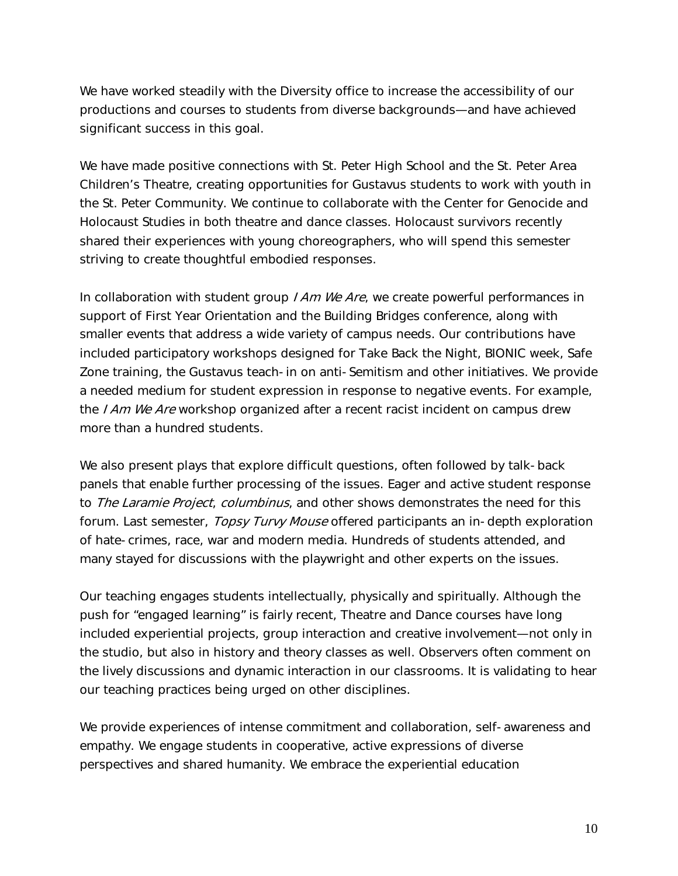We have worked steadily with the Diversity office to increase the accessibility of our productions and courses to students from diverse backgrounds—and have achieved significant success in this goal.

We have made positive connections with St. Peter High School and the St. Peter Area Children's Theatre, creating opportunities for Gustavus students to work with youth in the St. Peter Community. We continue to collaborate with the Center for Genocide and Holocaust Studies in both theatre and dance classes. Holocaust survivors recently shared their experiences with young choreographers, who will spend this semester striving to create thoughtful embodied responses.

In collaboration with student group  $IAm$  We Are, we create powerful performances in support of First Year Orientation and the Building Bridges conference, along with smaller events that address a wide variety of campus needs. Our contributions have included participatory workshops designed for Take Back the Night, BIONIC week, Safe Zone training, the Gustavus teach-in on anti-Semitism and other initiatives. We provide a needed medium for student expression in response to negative events. For example, the I Am We Are workshop organized after a recent racist incident on campus drew more than a hundred students.

We also present plays that explore difficult questions, often followed by talk-back panels that enable further processing of the issues. Eager and active student response to The Laramie Project, columbinus, and other shows demonstrates the need for this forum. Last semester, *Topsy Turvy Mouse* offered participants an in-depth exploration of hate-crimes, race, war and modern media. Hundreds of students attended, and many stayed for discussions with the playwright and other experts on the issues.

Our teaching engages students intellectually, physically and spiritually. Although the push for "engaged learning" is fairly recent, Theatre and Dance courses have long included experiential projects, group interaction and creative involvement—not only in the studio, but also in history and theory classes as well. Observers often comment on the lively discussions and dynamic interaction in our classrooms. It is validating to hear our teaching practices being urged on other disciplines.

We provide experiences of intense commitment and collaboration, self-awareness and empathy. We engage students in cooperative, active expressions of diverse perspectives and shared humanity. We embrace the experiential education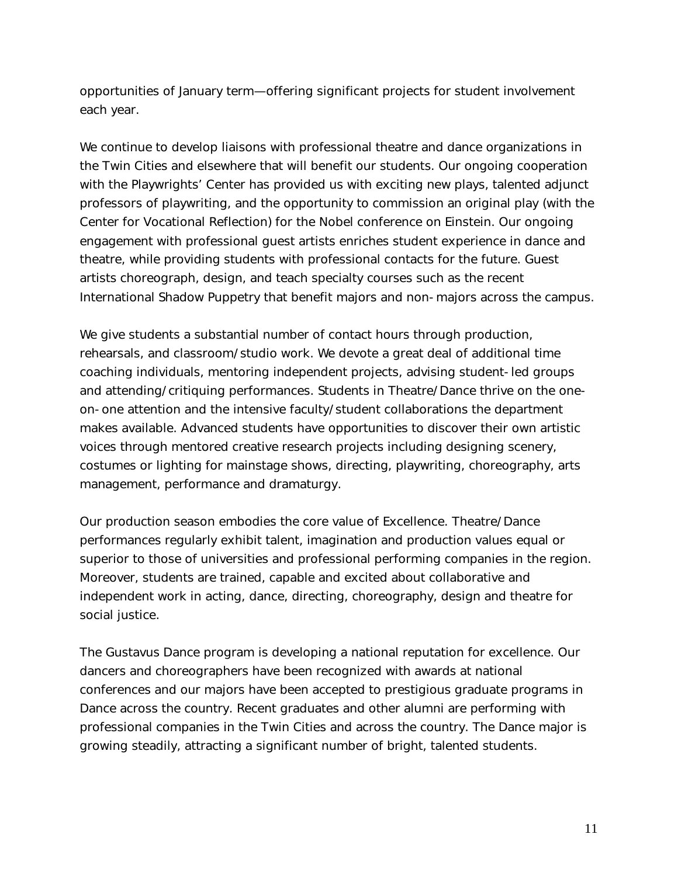opportunities of January term—offering significant projects for student involvement each year.

We continue to develop liaisons with professional theatre and dance organizations in the Twin Cities and elsewhere that will benefit our students. Our ongoing cooperation with the Playwrights' Center has provided us with exciting new plays, talented adjunct professors of playwriting, and the opportunity to commission an original play (with the Center for Vocational Reflection) for the Nobel conference on Einstein. Our ongoing engagement with professional guest artists enriches student experience in dance and theatre, while providing students with professional contacts for the future. Guest artists choreograph, design, and teach specialty courses such as the recent International Shadow Puppetry that benefit majors and non-majors across the campus.

We give students a substantial number of contact hours through production, rehearsals, and classroom/studio work. We devote a great deal of additional time coaching individuals, mentoring independent projects, advising student-led groups and attending/critiquing performances. Students in Theatre/Dance thrive on the oneon-one attention and the intensive faculty/student collaborations the department makes available. Advanced students have opportunities to discover their own artistic voices through mentored creative research projects including designing scenery, costumes or lighting for mainstage shows, directing, playwriting, choreography, arts management, performance and dramaturgy.

Our production season embodies the core value of Excellence. Theatre/Dance performances regularly exhibit talent, imagination and production values equal or superior to those of universities and professional performing companies in the region. Moreover, students are trained, capable and excited about collaborative and independent work in acting, dance, directing, choreography, design and theatre for social justice.

The Gustavus Dance program is developing a national reputation for excellence. Our dancers and choreographers have been recognized with awards at national conferences and our majors have been accepted to prestigious graduate programs in Dance across the country. Recent graduates and other alumni are performing with professional companies in the Twin Cities and across the country. The Dance major is growing steadily, attracting a significant number of bright, talented students.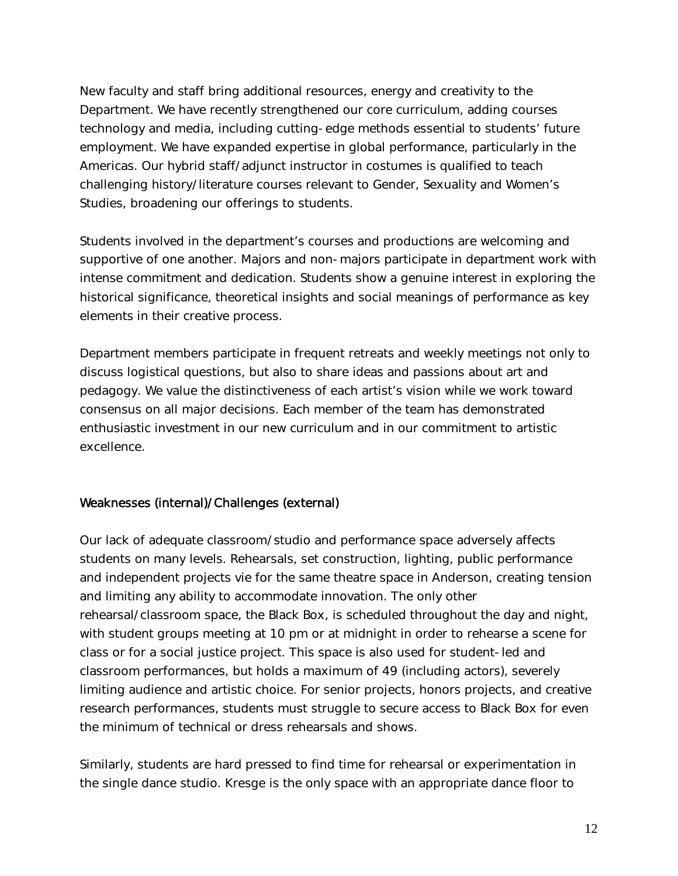New faculty and staff bring additional resources, energy and creativity to the Department. We have recently strengthened our core curriculum, adding courses technology and media, including cutting-edge methods essential to students' future employment. We have expanded expertise in global performance, particularly in the Americas. Our hybrid staff/adjunct instructor in costumes is qualified to teach challenging history/literature courses relevant to Gender, Sexuality and Women's Studies, broadening our offerings to students.

Students involved in the department's courses and productions are welcoming and supportive of one another. Majors and non-majors participate in department work with intense commitment and dedication. Students show a genuine interest in exploring the historical significance, theoretical insights and social meanings of performance as key elements in their creative process.

Department members participate in frequent retreats and weekly meetings not only to discuss logistical questions, but also to share ideas and passions about art and pedagogy. We value the distinctiveness of each artist's vision while we work toward consensus on all major decisions. Each member of the team has demonstrated enthusiastic investment in our new curriculum and in our commitment to artistic excellence.

## Weaknesses (internal)/Challenges (external)

Our lack of adequate classroom/studio and performance space adversely affects students on many levels. Rehearsals, set construction, lighting, public performance and independent projects vie for the same theatre space in Anderson, creating tension and limiting any ability to accommodate innovation. The only other rehearsal/classroom space, the Black Box, is scheduled throughout the day and night, with student groups meeting at 10 pm or at midnight in order to rehearse a scene for class or for a social justice project. This space is also used for student-led and classroom performances, but holds a maximum of 49 (including actors), severely limiting audience and artistic choice. For senior projects, honors projects, and creative research performances, students must struggle to secure access to Black Box for even the minimum of technical or dress rehearsals and shows.

Similarly, students are hard pressed to find time for rehearsal or experimentation in the single dance studio. Kresge is the only space with an appropriate dance floor to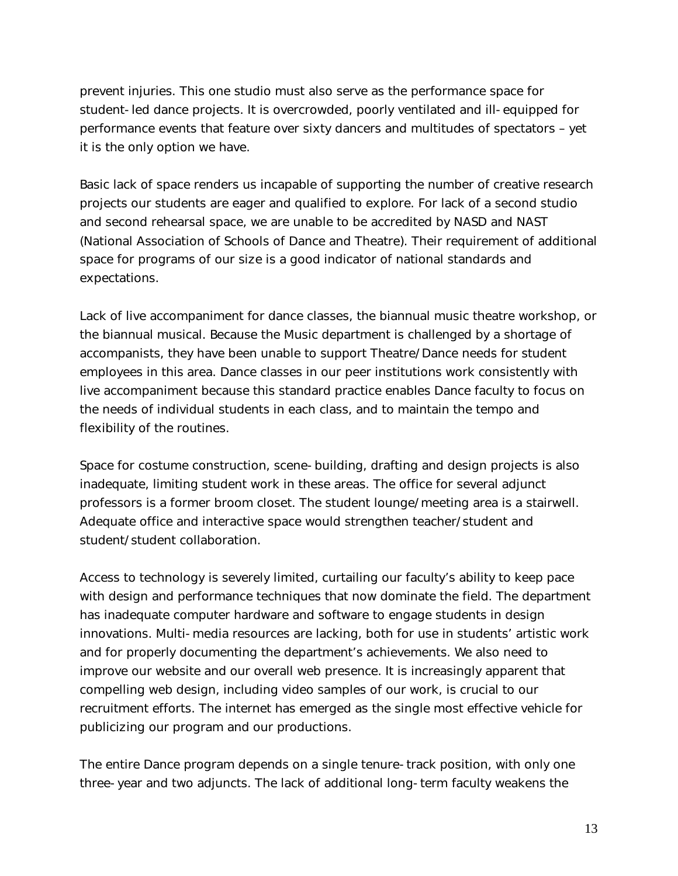prevent injuries. This one studio must also serve as the performance space for student-led dance projects. It is overcrowded, poorly ventilated and ill-equipped for performance events that feature over sixty dancers and multitudes of spectators – yet it is the only option we have.

Basic lack of space renders us incapable of supporting the number of creative research projects our students are eager and qualified to explore. For lack of a second studio and second rehearsal space, we are unable to be accredited by NASD and NAST (National Association of Schools of Dance and Theatre). Their requirement of additional space for programs of our size is a good indicator of national standards and expectations.

Lack of live accompaniment for dance classes, the biannual music theatre workshop, or the biannual musical. Because the Music department is challenged by a shortage of accompanists, they have been unable to support Theatre/Dance needs for student employees in this area. Dance classes in our peer institutions work consistently with live accompaniment because this standard practice enables Dance faculty to focus on the needs of individual students in each class, and to maintain the tempo and flexibility of the routines.

Space for costume construction, scene-building, drafting and design projects is also inadequate, limiting student work in these areas. The office for several adjunct professors is a former broom closet. The student lounge/meeting area is a stairwell. Adequate office and interactive space would strengthen teacher/student and student/student collaboration.

Access to technology is severely limited, curtailing our faculty's ability to keep pace with design and performance techniques that now dominate the field. The department has inadequate computer hardware and software to engage students in design innovations. Multi-media resources are lacking, both for use in students' artistic work and for properly documenting the department's achievements. We also need to improve our website and our overall web presence. It is increasingly apparent that compelling web design, including video samples of our work, is crucial to our recruitment efforts. The internet has emerged as the single most effective vehicle for publicizing our program and our productions.

The entire Dance program depends on a single tenure-track position, with only one three-year and two adjuncts. The lack of additional long-term faculty weakens the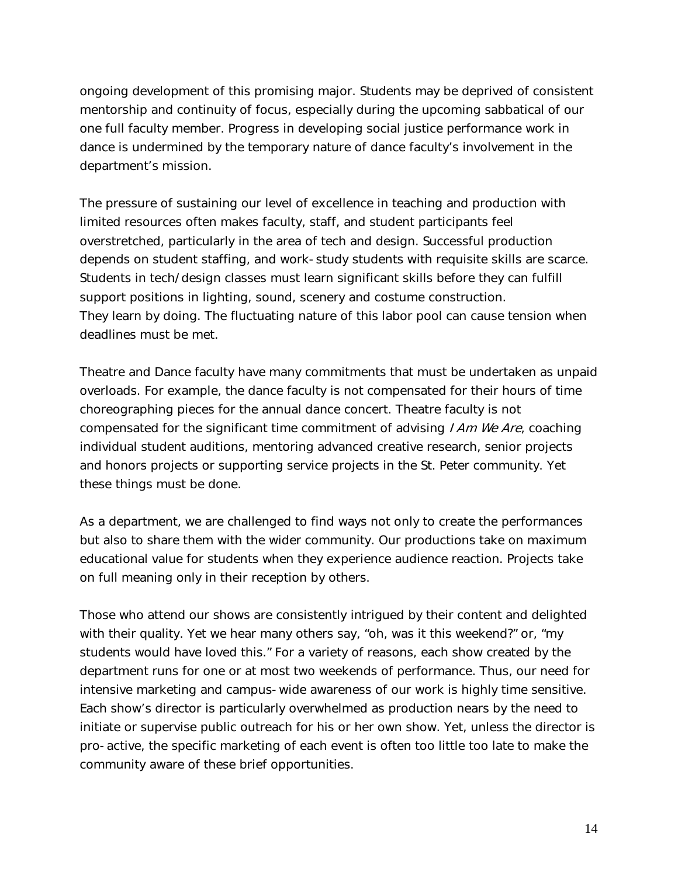ongoing development of this promising major. Students may be deprived of consistent mentorship and continuity of focus, especially during the upcoming sabbatical of our one full faculty member. Progress in developing social justice performance work in dance is undermined by the temporary nature of dance faculty's involvement in the department's mission.

The pressure of sustaining our level of excellence in teaching and production with limited resources often makes faculty, staff, and student participants feel overstretched, particularly in the area of tech and design. Successful production depends on student staffing, and work-study students with requisite skills are scarce. Students in tech/design classes must learn significant skills before they can fulfill support positions in lighting, sound, scenery and costume construction. They learn by doing. The fluctuating nature of this labor pool can cause tension when deadlines must be met.

Theatre and Dance faculty have many commitments that must be undertaken as unpaid overloads. For example, the dance faculty is not compensated for their hours of time choreographing pieces for the annual dance concert. Theatre faculty is not compensated for the significant time commitment of advising  $I Am We Are$ , coaching individual student auditions, mentoring advanced creative research, senior projects and honors projects or supporting service projects in the St. Peter community. Yet these things must be done.

As a department, we are challenged to find ways not only to create the performances but also to share them with the wider community. Our productions take on maximum educational value for students when they experience audience reaction. Projects take on full meaning only in their reception by others.

Those who attend our shows are consistently intrigued by their content and delighted with their quality. Yet we hear many others say, "oh, was it this weekend?" or, "my students would have loved this." For a variety of reasons, each show created by the department runs for one or at most two weekends of performance. Thus, our need for intensive marketing and campus-wide awareness of our work is highly time sensitive. Each show's director is particularly overwhelmed as production nears by the need to initiate or supervise public outreach for his or her own show. Yet, unless the director is pro-active, the specific marketing of each event is often too little too late to make the community aware of these brief opportunities.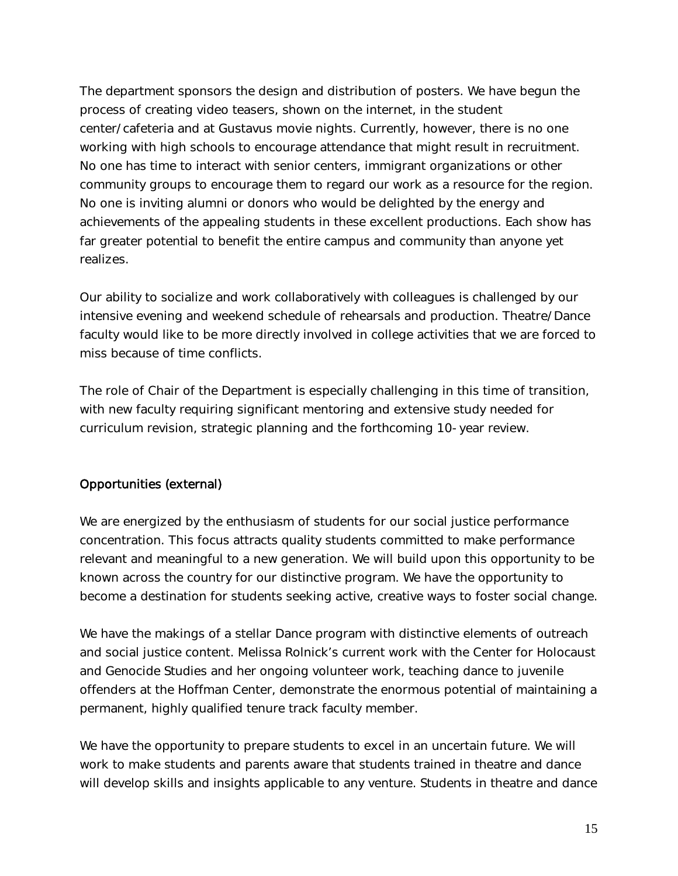The department sponsors the design and distribution of posters. We have begun the process of creating video teasers, shown on the internet, in the student center/cafeteria and at Gustavus movie nights. Currently, however, there is no one working with high schools to encourage attendance that might result in recruitment. No one has time to interact with senior centers, immigrant organizations or other community groups to encourage them to regard our work as a resource for the region. No one is inviting alumni or donors who would be delighted by the energy and achievements of the appealing students in these excellent productions. Each show has far greater potential to benefit the entire campus and community than anyone yet realizes.

Our ability to socialize and work collaboratively with colleagues is challenged by our intensive evening and weekend schedule of rehearsals and production. Theatre/Dance faculty would like to be more directly involved in college activities that we are forced to miss because of time conflicts.

The role of Chair of the Department is especially challenging in this time of transition, with new faculty requiring significant mentoring and extensive study needed for curriculum revision, strategic planning and the forthcoming 10-year review.

## Opportunities (external)

We are energized by the enthusiasm of students for our social justice performance concentration. This focus attracts quality students committed to make performance relevant and meaningful to a new generation. We will build upon this opportunity to be known across the country for our distinctive program. We have the opportunity to become a destination for students seeking active, creative ways to foster social change.

We have the makings of a stellar Dance program with distinctive elements of outreach and social justice content. Melissa Rolnick's current work with the Center for Holocaust and Genocide Studies and her ongoing volunteer work, teaching dance to juvenile offenders at the Hoffman Center, demonstrate the enormous potential of maintaining a permanent, highly qualified tenure track faculty member.

We have the opportunity to prepare students to excel in an uncertain future. We will work to make students and parents aware that students trained in theatre and dance will develop skills and insights applicable to any venture. Students in theatre and dance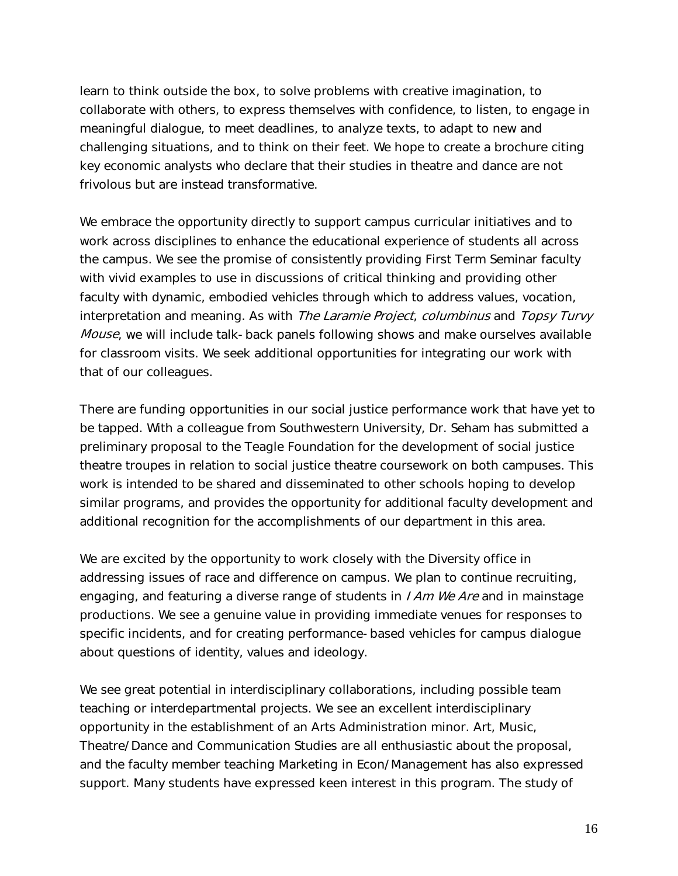learn to think outside the box, to solve problems with creative imagination, to collaborate with others, to express themselves with confidence, to listen, to engage in meaningful dialogue, to meet deadlines, to analyze texts, to adapt to new and challenging situations, and to think on their feet. We hope to create a brochure citing key economic analysts who declare that their studies in theatre and dance are not frivolous but are instead transformative.

We embrace the opportunity directly to support campus curricular initiatives and to work across disciplines to enhance the educational experience of students all across the campus. We see the promise of consistently providing First Term Seminar faculty with vivid examples to use in discussions of critical thinking and providing other faculty with dynamic, embodied vehicles through which to address values, vocation, interpretation and meaning. As with The Laramie Project, columbinus and Topsy Turvy Mouse, we will include talk-back panels following shows and make ourselves available for classroom visits. We seek additional opportunities for integrating our work with that of our colleagues.

There are funding opportunities in our social justice performance work that have yet to be tapped. With a colleague from Southwestern University, Dr. Seham has submitted a preliminary proposal to the Teagle Foundation for the development of social justice theatre troupes in relation to social justice theatre coursework on both campuses. This work is intended to be shared and disseminated to other schools hoping to develop similar programs, and provides the opportunity for additional faculty development and additional recognition for the accomplishments of our department in this area.

We are excited by the opportunity to work closely with the Diversity office in addressing issues of race and difference on campus. We plan to continue recruiting, engaging, and featuring a diverse range of students in *I Am We Are* and in mainstage productions. We see a genuine value in providing immediate venues for responses to specific incidents, and for creating performance-based vehicles for campus dialogue about questions of identity, values and ideology.

We see great potential in interdisciplinary collaborations, including possible team teaching or interdepartmental projects. We see an excellent interdisciplinary opportunity in the establishment of an Arts Administration minor. Art, Music, Theatre/Dance and Communication Studies are all enthusiastic about the proposal, and the faculty member teaching Marketing in Econ/Management has also expressed support. Many students have expressed keen interest in this program. The study of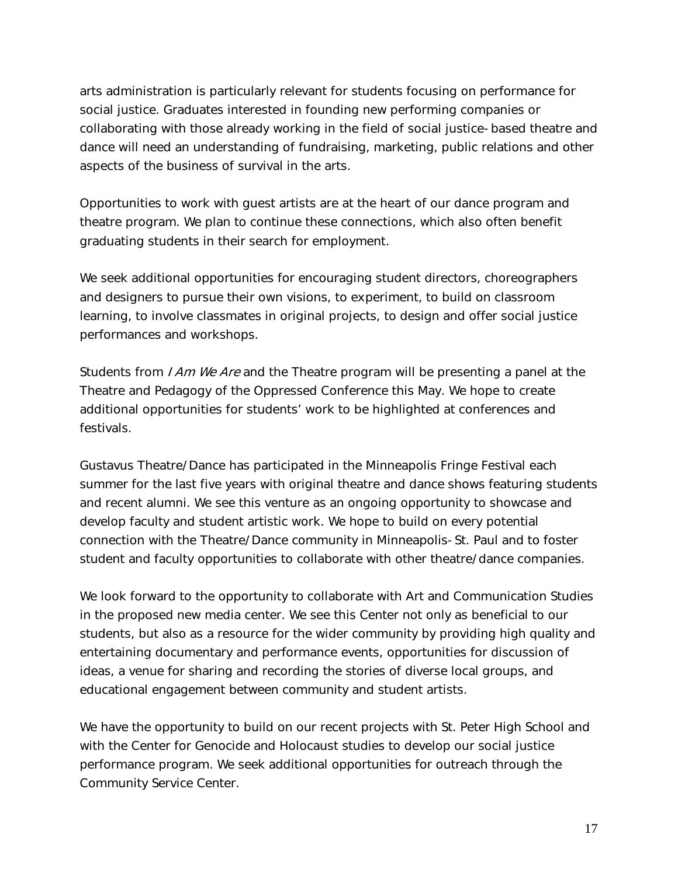arts administration is particularly relevant for students focusing on performance for social justice. Graduates interested in founding new performing companies or collaborating with those already working in the field of social justice-based theatre and dance will need an understanding of fundraising, marketing, public relations and other aspects of the business of survival in the arts.

Opportunities to work with guest artists are at the heart of our dance program and theatre program. We plan to continue these connections, which also often benefit graduating students in their search for employment.

We seek additional opportunities for encouraging student directors, choreographers and designers to pursue their own visions, to experiment, to build on classroom learning, to involve classmates in original projects, to design and offer social justice performances and workshops.

Students from *I Am We Are* and the Theatre program will be presenting a panel at the Theatre and Pedagogy of the Oppressed Conference this May. We hope to create additional opportunities for students' work to be highlighted at conferences and festivals.

Gustavus Theatre/Dance has participated in the Minneapolis Fringe Festival each summer for the last five years with original theatre and dance shows featuring students and recent alumni. We see this venture as an ongoing opportunity to showcase and develop faculty and student artistic work. We hope to build on every potential connection with the Theatre/Dance community in Minneapolis-St. Paul and to foster student and faculty opportunities to collaborate with other theatre/dance companies.

We look forward to the opportunity to collaborate with Art and Communication Studies in the proposed new media center. We see this Center not only as beneficial to our students, but also as a resource for the wider community by providing high quality and entertaining documentary and performance events, opportunities for discussion of ideas, a venue for sharing and recording the stories of diverse local groups, and educational engagement between community and student artists.

We have the opportunity to build on our recent projects with St. Peter High School and with the Center for Genocide and Holocaust studies to develop our social justice performance program. We seek additional opportunities for outreach through the Community Service Center.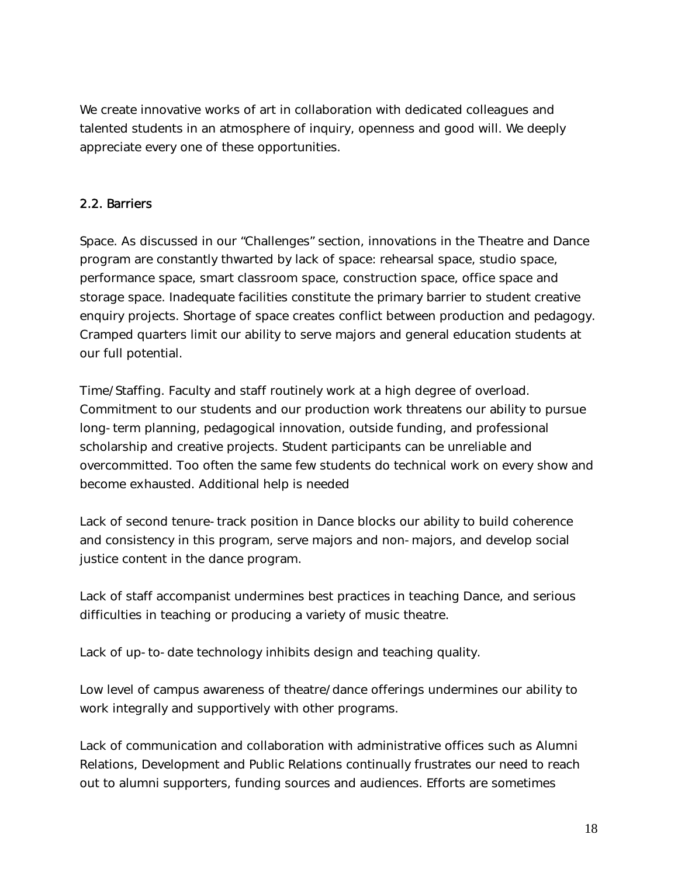We create innovative works of art in collaboration with dedicated colleagues and talented students in an atmosphere of inquiry, openness and good will. We deeply appreciate every one of these opportunities.

# 2.2. Barriers

Space. As discussed in our "Challenges" section, innovations in the Theatre and Dance program are constantly thwarted by lack of space: rehearsal space, studio space, performance space, smart classroom space, construction space, office space and storage space. Inadequate facilities constitute the primary barrier to student creative enquiry projects. Shortage of space creates conflict between production and pedagogy. Cramped quarters limit our ability to serve majors and general education students at our full potential.

Time/Staffing. Faculty and staff routinely work at a high degree of overload. Commitment to our students and our production work threatens our ability to pursue long-term planning, pedagogical innovation, outside funding, and professional scholarship and creative projects. Student participants can be unreliable and overcommitted. Too often the same few students do technical work on every show and become exhausted. Additional help is needed

Lack of second tenure-track position in Dance blocks our ability to build coherence and consistency in this program, serve majors and non-majors, and develop social justice content in the dance program.

Lack of staff accompanist undermines best practices in teaching Dance, and serious difficulties in teaching or producing a variety of music theatre.

Lack of up-to-date technology inhibits design and teaching quality.

Low level of campus awareness of theatre/dance offerings undermines our ability to work integrally and supportively with other programs.

Lack of communication and collaboration with administrative offices such as Alumni Relations, Development and Public Relations continually frustrates our need to reach out to alumni supporters, funding sources and audiences. Efforts are sometimes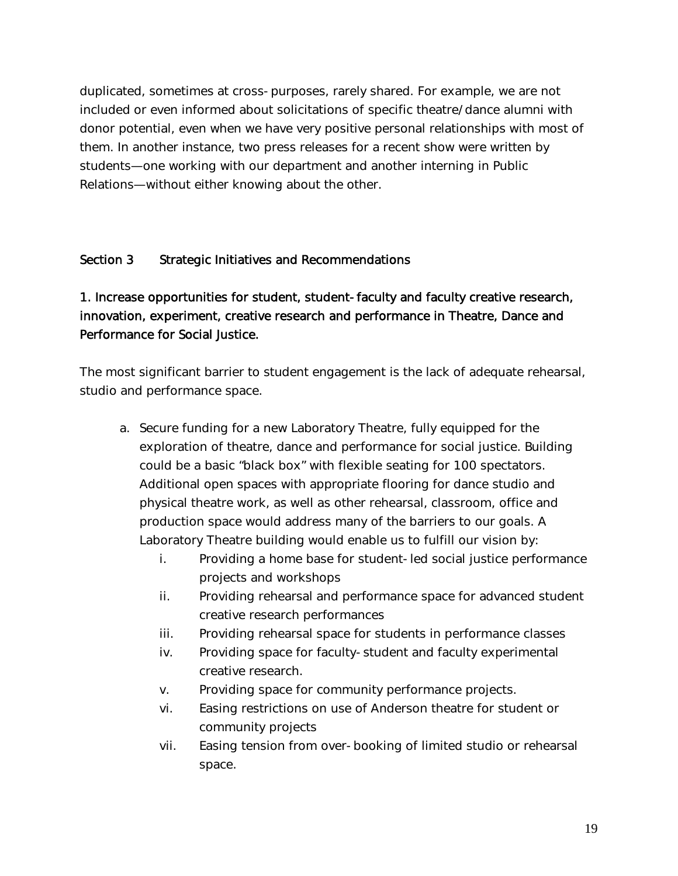duplicated, sometimes at cross-purposes, rarely shared. For example, we are not included or even informed about solicitations of specific theatre/dance alumni with donor potential, even when we have very positive personal relationships with most of them. In another instance, two press releases for a recent show were written by students—one working with our department and another interning in Public Relations—without either knowing about the other.

# Section 3 Strategic Initiatives and Recommendations

# 1. Increase opportunities for student, student-faculty and faculty creative research, innovation, experiment, creative research and performance in Theatre, Dance and Performance for Social Justice.

The most significant barrier to student engagement is the lack of adequate rehearsal, studio and performance space.

- a. Secure funding for a new Laboratory Theatre, fully equipped for the exploration of theatre, dance and performance for social justice. Building could be a basic "black box" with flexible seating for 100 spectators. Additional open spaces with appropriate flooring for dance studio and physical theatre work, as well as other rehearsal, classroom, office and production space would address many of the barriers to our goals. A Laboratory Theatre building would enable us to fulfill our vision by:
	- i. Providing a home base for student-led social justice performance projects and workshops
	- ii. Providing rehearsal and performance space for advanced student creative research performances
	- iii. Providing rehearsal space for students in performance classes
	- iv. Providing space for faculty-student and faculty experimental creative research.
	- v. Providing space for community performance projects.
	- vi. Easing restrictions on use of Anderson theatre for student or community projects
	- vii. Easing tension from over-booking of limited studio or rehearsal space.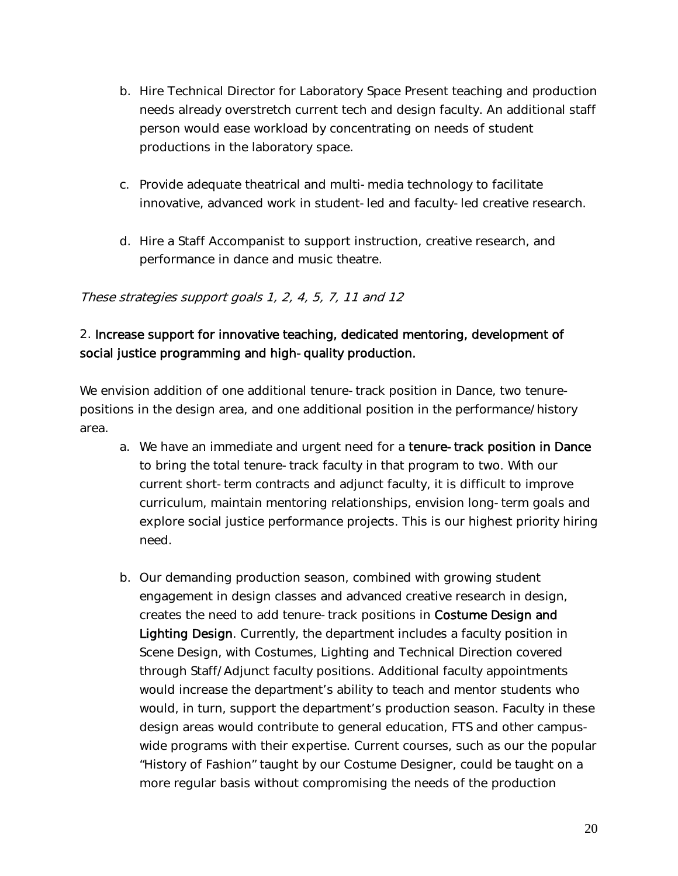- b. Hire Technical Director for Laboratory Space Present teaching and production needs already overstretch current tech and design faculty. An additional staff person would ease workload by concentrating on needs of student productions in the laboratory space.
- c. Provide adequate theatrical and multi-media technology to facilitate innovative, advanced work in student-led and faculty-led creative research.
- d. Hire a Staff Accompanist to support instruction, creative research, and performance in dance and music theatre.

# These strategies support goals 1, 2, 4, 5, 7, 11 and 12

# 2. Increase support for innovative teaching, dedicated mentoring, development of social justice programming and high-quality production.

We envision addition of one additional tenure-track position in Dance, two tenurepositions in the design area, and one additional position in the performance/history area.

- a. We have an immediate and urgent need for a tenure-track position in Dance to bring the total tenure-track faculty in that program to two. With our current short-term contracts and adjunct faculty, it is difficult to improve curriculum, maintain mentoring relationships, envision long-term goals and explore social justice performance projects. This is our highest priority hiring need.
- b. Our demanding production season, combined with growing student engagement in design classes and advanced creative research in design, creates the need to add tenure-track positions in Costume Design and Lighting Design. Currently, the department includes a faculty position in Scene Design, with Costumes, Lighting and Technical Direction covered through Staff/Adjunct faculty positions. Additional faculty appointments would increase the department's ability to teach and mentor students who would, in turn, support the department's production season. Faculty in these design areas would contribute to general education, FTS and other campuswide programs with their expertise. Current courses, such as our the popular "History of Fashion" taught by our Costume Designer, could be taught on a more regular basis without compromising the needs of the production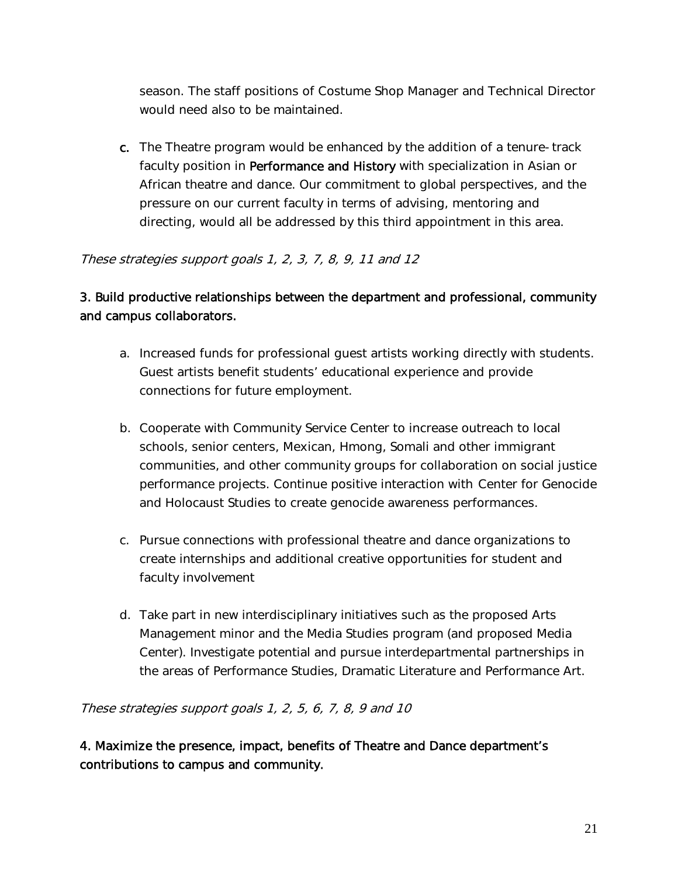season. The staff positions of Costume Shop Manager and Technical Director would need also to be maintained.

c. The Theatre program would be enhanced by the addition of a tenure-track faculty position in Performance and History with specialization in Asian or African theatre and dance. Our commitment to global perspectives, and the pressure on our current faculty in terms of advising, mentoring and directing, would all be addressed by this third appointment in this area.

#### These strategies support goals 1, 2, 3, 7, 8, 9, 11 and 12

# 3. Build productive relationships between the department and professional, community and campus collaborators.

- a. Increased funds for professional guest artists working directly with students. Guest artists benefit students' educational experience and provide connections for future employment.
- b. Cooperate with Community Service Center to increase outreach to local schools, senior centers, Mexican, Hmong, Somali and other immigrant communities, and other community groups for collaboration on social justice performance projects. Continue positive interaction with Center for Genocide and Holocaust Studies to create genocide awareness performances.
- c. Pursue connections with professional theatre and dance organizations to create internships and additional creative opportunities for student and faculty involvement
- d. Take part in new interdisciplinary initiatives such as the proposed Arts Management minor and the Media Studies program (and proposed Media Center). Investigate potential and pursue interdepartmental partnerships in the areas of Performance Studies, Dramatic Literature and Performance Art.

These strategies support goals 1, 2, 5, 6, 7, 8, 9 and 10

4. Maximize the presence, impact, benefits of Theatre and Dance department's contributions to campus and community.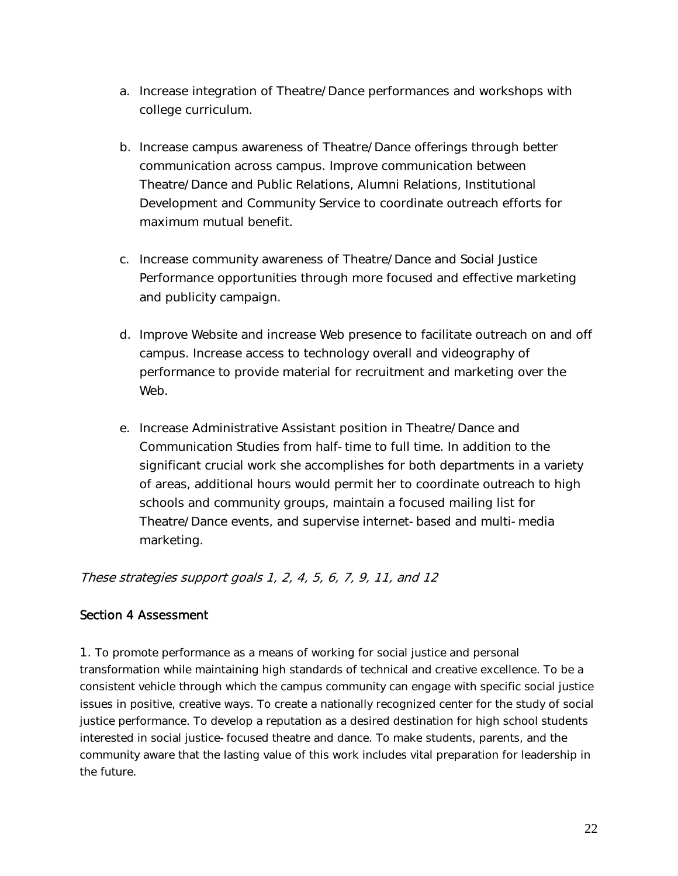- a. Increase integration of Theatre/Dance performances and workshops with college curriculum.
- b. Increase campus awareness of Theatre/Dance offerings through better communication across campus. Improve communication between Theatre/Dance and Public Relations, Alumni Relations, Institutional Development and Community Service to coordinate outreach efforts for maximum mutual benefit.
- c. Increase community awareness of Theatre/Dance and Social Justice Performance opportunities through more focused and effective marketing and publicity campaign.
- d. Improve Website and increase Web presence to facilitate outreach on and off campus. Increase access to technology overall and videography of performance to provide material for recruitment and marketing over the Web.
- e. Increase Administrative Assistant position in Theatre/Dance and Communication Studies from half-time to full time. In addition to the significant crucial work she accomplishes for both departments in a variety of areas, additional hours would permit her to coordinate outreach to high schools and community groups, maintain a focused mailing list for Theatre/Dance events, and supervise internet-based and multi-media marketing.

These strategies support goals 1, 2, 4, 5, 6, 7, 9, 11, and 12

## Section 4 Assessment

1. To promote performance as a means of working for social justice and personal transformation while maintaining high standards of technical and creative excellence. To be a consistent vehicle through which the campus community can engage with specific social justice issues in positive, creative ways. To create a nationally recognized center for the study of social justice performance. To develop a reputation as a desired destination for high school students interested in social justice-focused theatre and dance. To make students, parents, and the community aware that the lasting value of this work includes vital preparation for leadership in the future.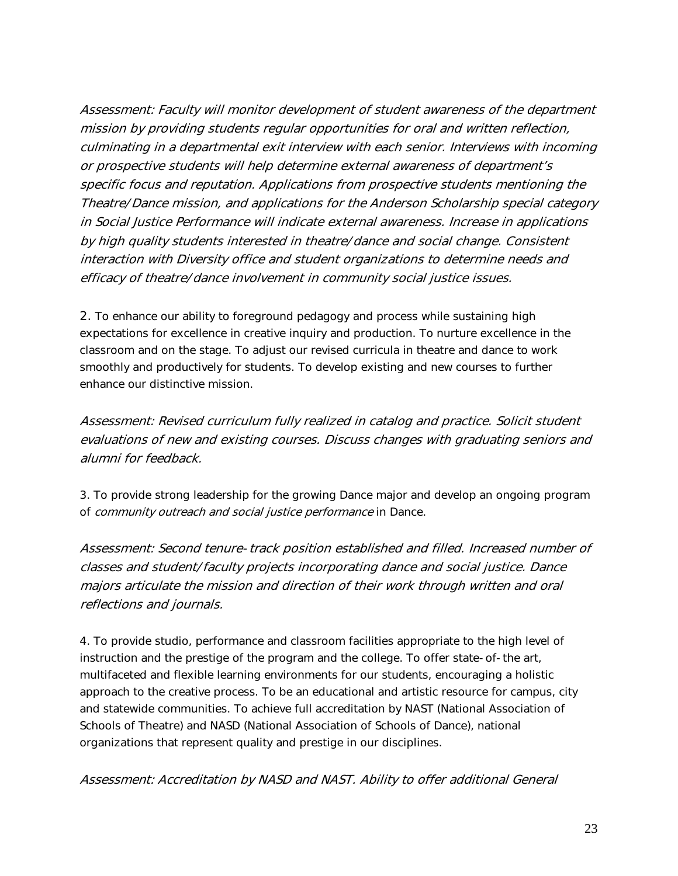Assessment: Faculty will monitor development of student awareness of the department mission by providing students regular opportunities for oral and written reflection, culminating in a departmental exit interview with each senior. Interviews with incoming or prospective students will help determine external awareness of department's specific focus and reputation. Applications from prospective students mentioning the Theatre/Dance mission, and applications for the Anderson Scholarship special category in Social Justice Performance will indicate external awareness. Increase in applications by high quality students interested in theatre/dance and social change. Consistent interaction with Diversity office and student organizations to determine needs and efficacy of theatre/dance involvement in community social justice issues.

2. To enhance our ability to foreground pedagogy and process while sustaining high expectations for excellence in creative inquiry and production. To nurture excellence in the classroom and on the stage. To adjust our revised curricula in theatre and dance to work smoothly and productively for students. To develop existing and new courses to further enhance our distinctive mission.

Assessment: Revised curriculum fully realized in catalog and practice. Solicit student evaluations of new and existing courses. Discuss changes with graduating seniors and alumni for feedback.

3. To provide strong leadership for the growing Dance major and develop an ongoing program of community outreach and social justice performance in Dance.

Assessment: Second tenure-track position established and filled. Increased number of classes and student/faculty projects incorporating dance and social justice. Dance majors articulate the mission and direction of their work through written and oral reflections and journals.

4. To provide studio, performance and classroom facilities appropriate to the high level of instruction and the prestige of the program and the college. To offer state-of-the art, multifaceted and flexible learning environments for our students, encouraging a holistic approach to the creative process. To be an educational and artistic resource for campus, city and statewide communities. To achieve full accreditation by NAST (National Association of Schools of Theatre) and NASD (National Association of Schools of Dance), national organizations that represent quality and prestige in our disciplines.

Assessment: Accreditation by NASD and NAST. Ability to offer additional General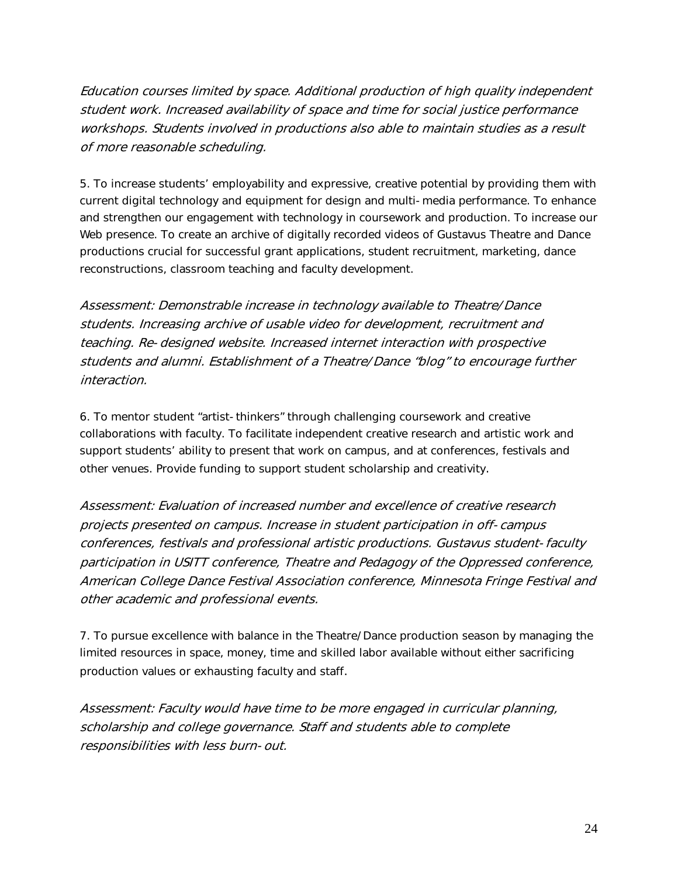Education courses limited by space. Additional production of high quality independent student work. Increased availability of space and time for social justice performance workshops. Students involved in productions also able to maintain studies as a result of more reasonable scheduling.

5. To increase students' employability and expressive, creative potential by providing them with current digital technology and equipment for design and multi-media performance. To enhance and strengthen our engagement with technology in coursework and production. To increase our Web presence. To create an archive of digitally recorded videos of Gustavus Theatre and Dance productions crucial for successful grant applications, student recruitment, marketing, dance reconstructions, classroom teaching and faculty development.

Assessment: Demonstrable increase in technology available to Theatre/Dance students. Increasing archive of usable video for development, recruitment and teaching. Re-designed website. Increased internet interaction with prospective students and alumni. Establishment of a Theatre/Dance "blog" to encourage further interaction.

6. To mentor student "artist-thinkers" through challenging coursework and creative collaborations with faculty. To facilitate independent creative research and artistic work and support students' ability to present that work on campus, and at conferences, festivals and other venues. Provide funding to support student scholarship and creativity.

Assessment: Evaluation of increased number and excellence of creative research projects presented on campus. Increase in student participation in off-campus conferences, festivals and professional artistic productions. Gustavus student-faculty participation in USITT conference, Theatre and Pedagogy of the Oppressed conference, American College Dance Festival Association conference, Minnesota Fringe Festival and other academic and professional events.

7. To pursue excellence with balance in the Theatre/Dance production season by managing the limited resources in space, money, time and skilled labor available without either sacrificing production values or exhausting faculty and staff.

Assessment: Faculty would have time to be more engaged in curricular planning, scholarship and college governance. Staff and students able to complete responsibilities with less burn-out.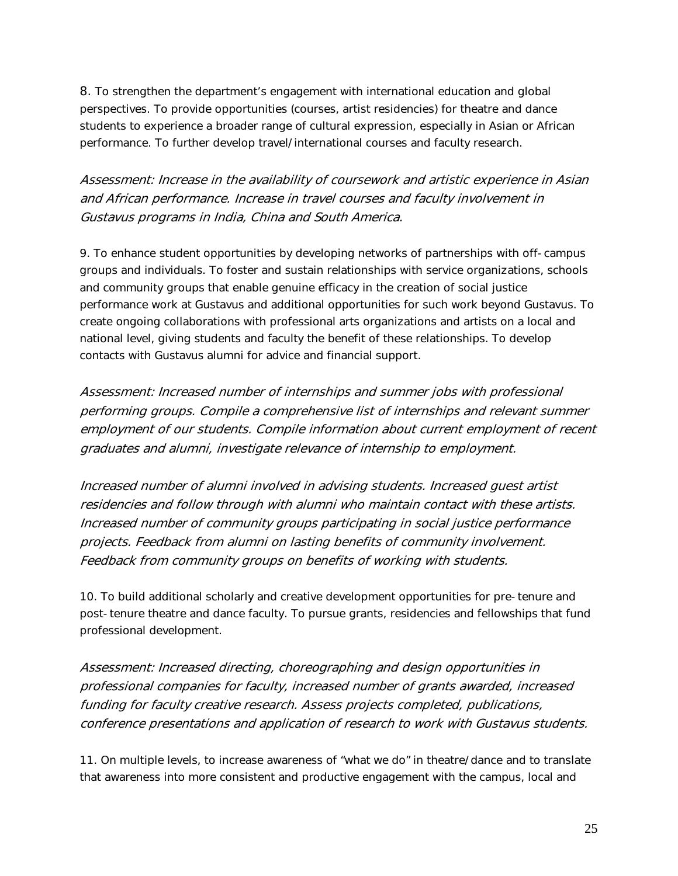8. To strengthen the department's engagement with international education and global perspectives. To provide opportunities (courses, artist residencies) for theatre and dance students to experience a broader range of cultural expression, especially in Asian or African performance. To further develop travel/international courses and faculty research.

Assessment: Increase in the availability of coursework and artistic experience in Asian and African performance. Increase in travel courses and faculty involvement in Gustavus programs in India, China and South America.

9. To enhance student opportunities by developing networks of partnerships with off-campus groups and individuals. To foster and sustain relationships with service organizations, schools and community groups that enable genuine efficacy in the creation of social justice performance work at Gustavus and additional opportunities for such work beyond Gustavus. To create ongoing collaborations with professional arts organizations and artists on a local and national level, giving students and faculty the benefit of these relationships. To develop contacts with Gustavus alumni for advice and financial support.

Assessment: Increased number of internships and summer jobs with professional performing groups. Compile a comprehensive list of internships and relevant summer employment of our students. Compile information about current employment of recent graduates and alumni, investigate relevance of internship to employment.

Increased number of alumni involved in advising students. Increased guest artist residencies and follow through with alumni who maintain contact with these artists. Increased number of community groups participating in social justice performance projects. Feedback from alumni on lasting benefits of community involvement. Feedback from community groups on benefits of working with students.

10. To build additional scholarly and creative development opportunities for pre-tenure and post-tenure theatre and dance faculty. To pursue grants, residencies and fellowships that fund professional development.

Assessment: Increased directing, choreographing and design opportunities in professional companies for faculty, increased number of grants awarded, increased funding for faculty creative research. Assess projects completed, publications, conference presentations and application of research to work with Gustavus students.

11. On multiple levels, to increase awareness of "what we do" in theatre/dance and to translate that awareness into more consistent and productive engagement with the campus, local and